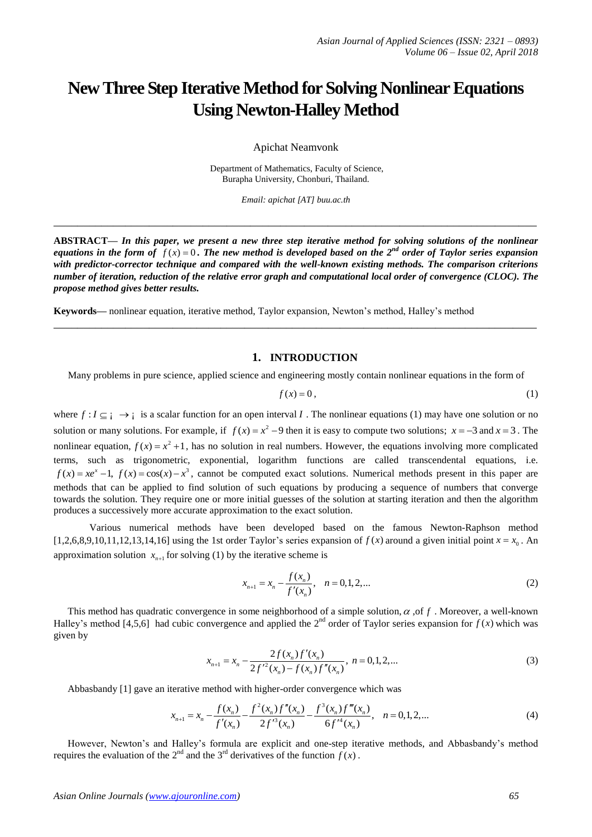# **New Three Step Iterative Method for Solving Nonlinear Equations Using Newton-Halley Method**

Apichat Neamvonk

Department of Mathematics, Faculty of Science, Burapha University, Chonburi, Thailand.

*Email: apichat [AT] buu.ac.th*

**\_\_\_\_\_\_\_\_\_\_\_\_\_\_\_\_\_\_\_\_\_\_\_\_\_\_\_\_\_\_\_\_\_\_\_\_\_\_\_\_\_\_\_\_\_\_\_\_\_\_\_\_\_\_\_\_\_\_\_\_\_\_\_\_\_\_\_\_\_\_\_\_\_\_\_\_\_\_\_\_\_**

**ABSTRACT—** *In this paper, we present a new three step iterative method for solving solutions of the nonlinear*  equations in the form of  $f(x) = 0$ . The new method is developed based on the 2<sup>nd</sup> order of Taylor series expansion *with predictor-corrector technique and compared with the well-known existing methods. The comparison criterions number of iteration, reduction of the relative error graph and computational local order of convergence (CLOC). The propose method gives better results.*

**\_\_\_\_\_\_\_\_\_\_\_\_\_\_\_\_\_\_\_\_\_\_\_\_\_\_\_\_\_\_\_\_\_\_\_\_\_\_\_\_\_\_\_\_\_\_\_\_\_\_\_\_\_\_\_\_\_\_\_\_\_\_\_\_\_\_\_\_\_\_\_\_\_\_\_\_\_\_\_\_\_**

**Keywords—** nonlinear equation, iterative method, Taylor expansion, Newton's method, Halley's method

# **1. INTRODUCTION**

Many problems in pure science, applied science and engineering mostly contain nonlinear equations in the form of

$$
f(x) = 0, \tag{1}
$$

where  $f: I \subseteq i \to i$  is a scalar function for an open interval I. The nonlinear equations (1) may have one solution or no solution or many solutions. For example, if  $f(x) = x^2 - 9$  then it is easy to compute two solutions;  $x = -3$  and  $x = 3$ . The nonlinear equation,  $f(x) = x^2 + 1$ , has no solution in real numbers. However, the equations involving more complicated terms, such as trigonometric, exponential, logarithm functions are called transcendental equations, i.e.  $f(x) = xe^{x} - 1$ ,  $f(x) = cos(x) - x^{3}$ , cannot be computed exact solutions. Numerical methods present in this paper are methods that can be applied to find solution of such equations by producing a sequence of numbers that converge towards the solution. They require one or more initial guesses of the solution at starting iteration and then the algorithm produces a successively more accurate approximation to the exact solution.

Various numerical methods have been developed based on the famous Newton-Raphson method [1,2,6,8,9,10,11,12,13,14,16] using the 1st order Taylor's series expansion of  $f(x)$  around a given initial point  $x = x_0$ . An approximation solution  $x_{n+1}$  for solving (1) by the iterative scheme is

$$
x_{n+1} = x_n - \frac{f(x_n)}{f'(x_n)}, \quad n = 0, 1, 2, \dots
$$
 (2)

This method has quadratic convergence in some neighborhood of a simple solution,  $\alpha$ , of f. Moreover, a well-known Halley's method [4,5,6] had cubic convergence and applied the  $2^{nd}$  order of Taylor series expansion for  $f(x)$  which was given by

$$
x_{n+1} = x_n - \frac{2f(x_n)f'(x_n)}{2f'^2(x_n) - f(x_n)f''(x_n)}, \quad n = 0, 1, 2, \dots
$$
\n(3)

Abbasbandy [1] gave an iterative method with higher-order convergence which was<br>  $f(x) = f^2(x) f''(x) - f^3(x) f'''(x)$ 

terative method with higher-order convergence which was  
\n
$$
x_{n+1} = x_n - \frac{f(x_n)}{f'(x_n)} - \frac{f^2(x_n)f''(x_n)}{2f'^3(x_n)} - \frac{f^3(x_n)f'''(x_n)}{6f'^4(x_n)}, \quad n = 0, 1, 2, ...
$$
\n(4)

However, Newton's and Halley's formula are explicit and one-step iterative methods, and Abbasbandy's method requires the evaluation of the 2<sup>nd</sup> and the 3<sup>rd</sup> derivatives of the function  $f(x)$ .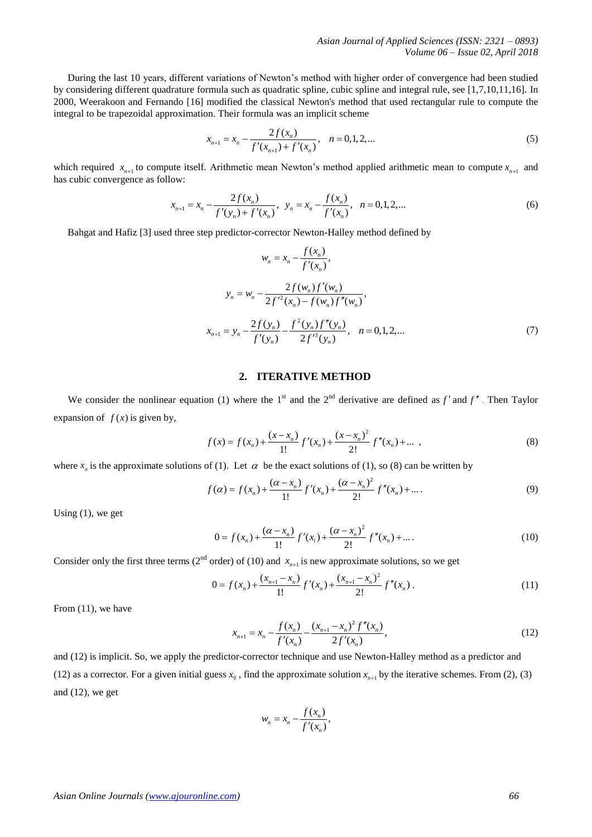During the last 10 years, different variations of Newton's method with higher order of convergence had been studied by considering different quadrature formula such as quadratic spline, cubic spline and integral rule, see [1,7,10,11,16]. In 2000, Weerakoon and Fernando [16] modified the classical Newton's method that used rectangular rule to compute the integral to be trapezoidal approximation. Their formula was an implicit scheme

$$
x_{n+1} = x_n - \frac{2f(x_n)}{f'(x_{n+1}) + f'(x_n)}, \quad n = 0, 1, 2, \dots
$$
 (5)

which required  $x_{n+1}$  to compute itself. Arithmetic mean Newton's method applied arithmetic mean to compute  $x_{n+1}$  and has cubic convergence as follow:

ow:  
\n
$$
x_{n+1} = x_n - \frac{2f(x_n)}{f'(y_n) + f'(x_n)}, \quad y_n = x_n - \frac{f(x_n)}{f'(x_n)}, \quad n = 0, 1, 2, \dots
$$
\n(6)

Bahgat and Hafiz [3] used three step predictor-corrector Newton-Halley method defined by

$$
w_n = x_n - \frac{f(x_n)}{f'(x_n)},
$$
  
\n
$$
y_n = w_n - \frac{2f(w_n)f'(w_n)}{2f'^2(x_n) - f(w_n)f''(w_n)},
$$
  
\n
$$
x_{n+1} = y_n - \frac{2f(y_n)}{f'(y_n)} - \frac{f^2(y_n)f''(y_n)}{2f'^3(y_n)}, \quad n = 0, 1, 2, ...
$$
\n(7)

## **2. ITERATIVE METHOD**

We consider the nonlinear equation (1) where the 1<sup>st</sup> and the 2<sup>nd</sup> derivative are defined as  $f'$  and  $f''$ . Then Taylor expansion of  $f(x)$  is given by,

$$
f(x) = f(x_n) + \frac{(x - x_n)}{1!} f'(x_n) + \frac{(x - x_n)^2}{2!} f''(x_n) + \dots,
$$
\n(8)

where 
$$
x_n
$$
 is the approximate solutions of (1). Let  $\alpha$  be the exact solutions of (1), so (8) can be written by  
\n
$$
f(\alpha) = f(x_n) + \frac{(\alpha - x_n)}{1!} f'(x_n) + \frac{(\alpha - x_n)^2}{2!} f''(x_n) + ... \qquad (9)
$$

Using  $(1)$ , we get

$$
0 = f(x_n) + \frac{(\alpha - x_n)}{1!} f'(x_i) + \frac{(\alpha - x_n)^2}{2!} f''(x_n) + \dots
$$
 (10)

Consider only the first three terms (2<sup>nd</sup> order) of (10) and 
$$
x_{n+1}
$$
 is new approximate solutions, so we get  
\n
$$
0 = f(x_n) + \frac{(x_{n+1} - x_n)}{1!} f'(x_n) + \frac{(x_{n+1} - x_n)^2}{2!} f''(x_n).
$$
\n(11)

From  $(11)$ , we have

$$
x_{n+1} = x_n - \frac{f(x_n)}{f'(x_n)} - \frac{(x_{n+1} - x_n)^2 f''(x_n)}{2f'(x_n)},
$$
\n(12)

and (12) is implicit. So, we apply the predictor-corrector technique and use Newton-Halley method as a predictor and (12) as a corrector. For a given initial guess  $x_0$ , find the approximate solution  $x_{n+1}$  by the iterative schemes. From (2), (3) and (12), we get

$$
w_n = x_n - \frac{f(x_n)}{f'(x_n)},
$$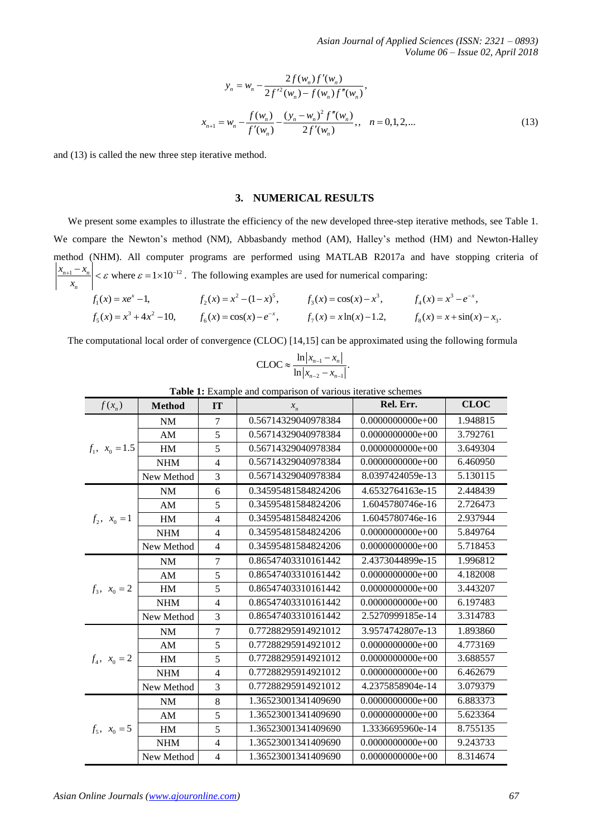$$
y_n = w_n - \frac{2f(w_n)f'(w_n)}{2f'^2(w_n) - f(w_n)f''(w_n)},
$$
  

$$
x_{n+1} = w_n - \frac{f(w_n)}{f'(w_n)} - \frac{(y_n - w_n)^2 f''(w_n)}{2f'(w_n)}, \quad n = 0, 1, 2, ...
$$
 (13)

and (13) is called the new three step iterative method.

#### **3. NUMERICAL RESULTS**

We present some examples to illustrate the efficiency of the new developed three-step iterative methods, see Table 1. We compare the Newton's method (NM), Abbasbandy method (AM), Halley's method (HM) and Newton-Halley method (NHM). All computer programs are performed using MATLAB R2017a and have stopping criteria of  $n+1$   $\lambda$ <sub>n</sub> *n*  $x_{n+1} - x$  $\left|\frac{u_1 - x_n}{x_n}\right| < \varepsilon$  where  $\varepsilon = 1 \times 10^{-12}$ . The following examples are used for numerical comparing:

 $f_1(x) = xe^x - 1,$   $f_2(x) = x^2 - (1 - x)^5,$   $f_3(x) = cos(x) - x^3,$   $f_4(x) = x^3 - e^{-x},$  $f_5(x) = x^3 + 4x^2 - 10$ ,  $f_6(x) = \cos(x) - e^{-x}$ ,  $f_7(x) = x \ln(x) - 1.2$ ,  $f_8(x) = x + \sin(x) - x_3$ .

The computational local order of convergence (CLOC) [14,15] can be approximated using the following formula

$$
\text{CLOC} \approx \frac{\ln |x_{n-1} - x_n|}{\ln |x_{n-2} - x_{n-1}|}.
$$

| $f(x_n)$          | <b>Method</b> | IT             | $x_n$               | Rel. Err.          | <b>CLOC</b> |
|-------------------|---------------|----------------|---------------------|--------------------|-------------|
| $f_1, x_0 = 1.5$  | NM            | $\overline{7}$ | 0.56714329040978384 | $0.0000000000e+00$ | 1.948815    |
|                   | AM            | 5              | 0.56714329040978384 | $0.0000000000e+00$ | 3.792761    |
|                   | <b>HM</b>     | 5              | 0.56714329040978384 | $0.0000000000e+00$ | 3.649304    |
|                   | <b>NHM</b>    | 4              | 0.56714329040978384 | $0.0000000000e+00$ | 6.460950    |
|                   | New Method    | $\overline{3}$ | 0.56714329040978384 | 8.0397424059e-13   | 5.130115    |
| $f_2, x_0 = 1$    | <b>NM</b>     | 6              | 0.34595481584824206 | 4.6532764163e-15   | 2.448439    |
|                   | AM            | 5              | 0.34595481584824206 | 1.6045780746e-16   | 2.726473    |
|                   | HM            | 4              | 0.34595481584824206 | 1.6045780746e-16   | 2.937944    |
|                   | <b>NHM</b>    | $\overline{4}$ | 0.34595481584824206 | $0.0000000000e+00$ | 5.849764    |
|                   | New Method    | $\overline{4}$ | 0.34595481584824206 | $0.0000000000e+00$ | 5.718453    |
| $f_3, x_0 = 2$    | <b>NM</b>     | $\overline{7}$ | 0.86547403310161442 | 2.4373044899e-15   | 1.996812    |
|                   | AM            | 5              | 0.86547403310161442 | $0.0000000000e+00$ | 4.182008    |
|                   | HM            | 5              | 0.86547403310161442 | $0.0000000000e+00$ | 3.443207    |
|                   | <b>NHM</b>    | $\overline{4}$ | 0.86547403310161442 | $0.0000000000e+00$ | 6.197483    |
|                   | New Method    | 3              | 0.86547403310161442 | 2.5270999185e-14   | 3.314783    |
| $f_4, x_0 = 2$    | NM            | $\overline{7}$ | 0.77288295914921012 | 3.9574742807e-13   | 1.893860    |
|                   | AM            | 5              | 0.77288295914921012 | $0.0000000000e+00$ | 4.773169    |
|                   | HM            | 5              | 0.77288295914921012 | $0.0000000000e+00$ | 3.688557    |
|                   | <b>NHM</b>    | $\overline{4}$ | 0.77288295914921012 | $0.0000000000e+00$ | 6.462679    |
|                   | New Method    | 3              | 0.77288295914921012 | 4.2375858904e-14   | 3.079379    |
| $f_5$ , $x_0 = 5$ | NM            | 8              | 1.36523001341409690 | $0.0000000000e+00$ | 6.883373    |
|                   | AM            | 5              | 1.36523001341409690 | $0.0000000000e+00$ | 5.623364    |
|                   | <b>HM</b>     | 5              | 1.36523001341409690 | 1.3336695960e-14   | 8.755135    |
|                   | <b>NHM</b>    | $\overline{4}$ | 1.36523001341409690 | $0.0000000000e+00$ | 9.243733    |
|                   | New Method    | $\overline{4}$ | 1.36523001341409690 | $0.0000000000e+00$ | 8.314674    |

**Table 1:** Example and comparison of various iterative schemes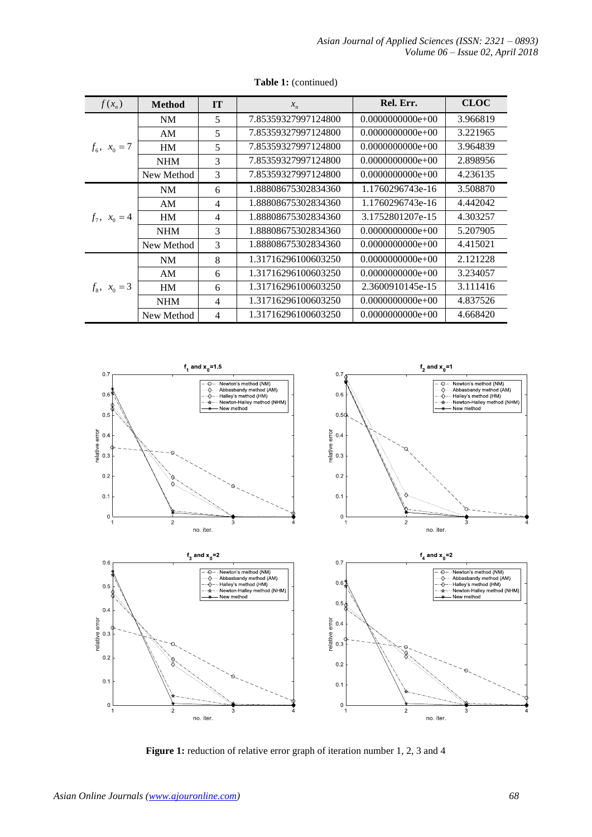| $f(x_n)$       | <b>Method</b> | <b>IT</b> | $x_{n}$             | Rel. Err.          | <b>CLOC</b> |
|----------------|---------------|-----------|---------------------|--------------------|-------------|
| $f_6, x_0 = 7$ | <b>NM</b>     | 5         | 7.85359327997124800 | $0.0000000000e+00$ | 3.966819    |
|                | AM            | 5         | 7.85359327997124800 | $0.0000000000e+00$ | 3.221965    |
|                | <b>HM</b>     | 5         | 7.85359327997124800 | $0.0000000000e+00$ | 3.964839    |
|                | <b>NHM</b>    | 3         | 7.85359327997124800 | $0.0000000000e+00$ | 2.898956    |
|                | New Method    | 3         | 7.85359327997124800 | $0.0000000000e+00$ | 4.236135    |
| $f_7, x_0 = 4$ | NM            | 6         | 1.88808675302834360 | 1.1760296743e-16   | 3.508870    |
|                | AM            | 4         | 1.88808675302834360 | 1.1760296743e-16   | 4.442042    |
|                | <b>HM</b>     | 4         | 1.88808675302834360 | 3.1752801207e-15   | 4.303257    |
|                | <b>NHM</b>    | 3         | 1.88808675302834360 | $0.0000000000e+00$ | 5.207905    |
|                | New Method    | 3         | 1.88808675302834360 | $0.0000000000e+00$ | 4.415021    |
| $f_8, x_0 = 3$ | <b>NM</b>     | 8         | 1.31716296100603250 | $0.0000000000e+00$ | 2.121228    |
|                | AM            | 6         | 1.31716296100603250 | $0.0000000000e+00$ | 3.234057    |
|                | HM            | 6         | 1.31716296100603250 | 2.3600910145e-15   | 3.111416    |
|                | NHM           | 4         | 1.31716296100603250 | $0.0000000000e+00$ | 4.837526    |
|                | New Method    | 4         | 1.31716296100603250 | $0.0000000000e+00$ | 4.668420    |

## **Table 1:** (continued)



Figure 1: reduction of relative error graph of iteration number 1, 2, 3 and 4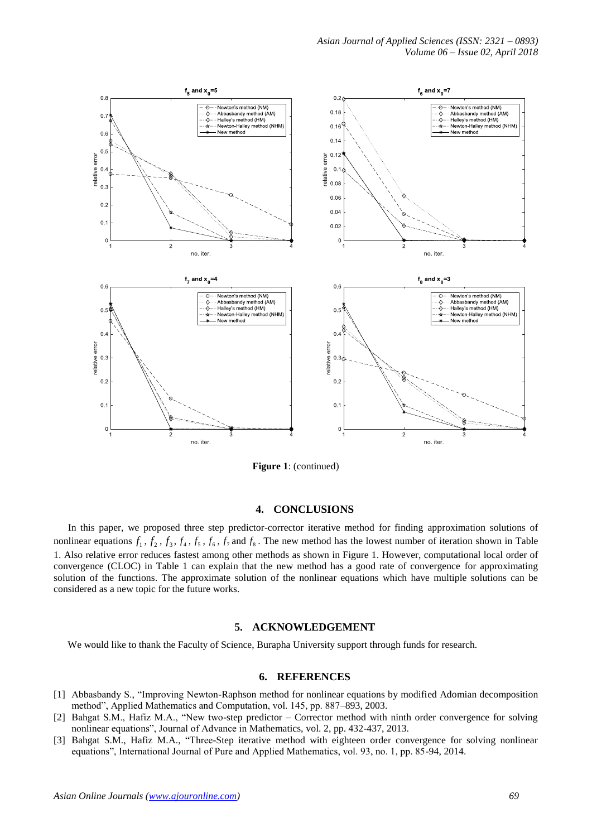

**Figure 1**: (continued)

#### **4. CONCLUSIONS**

In this paper, we proposed three step predictor-corrector iterative method for finding approximation solutions of nonlinear equations  $f_1$ ,  $f_2$ ,  $f_3$ ,  $f_4$ ,  $f_5$ ,  $f_6$ ,  $f_7$  and  $f_8$ . The new method has the lowest number of iteration shown in Table 1. Also relative error reduces fastest among other methods as shown in Figure 1. However, computational local order of convergence (CLOC) in Table 1 can explain that the new method has a good rate of convergence for approximating solution of the functions. The approximate solution of the nonlinear equations which have multiple solutions can be considered as a new topic for the future works.

#### **5. ACKNOWLEDGEMENT**

We would like to thank the Faculty of Science, Burapha University support through funds for research.

#### **6. REFERENCES**

- [1] Abbasbandy S., "Improving Newton-Raphson method for nonlinear equations by modified Adomian decomposition method", Applied Mathematics and Computation, vol. 145, pp. 887–893, 2003.
- [2] Bahgat S.M., Hafiz M.A., "New two-step predictor Corrector method with ninth order convergence for solving nonlinear equations", Journal of Advance in Mathematics, vol. 2, pp. 432-437, 2013.
- [3] Bahgat S.M., Hafiz M.A., "Three-Step iterative method with eighteen order convergence for solving nonlinear equations", International Journal of Pure and Applied Mathematics, vol. 93, no. 1, pp. 85-94, 2014.